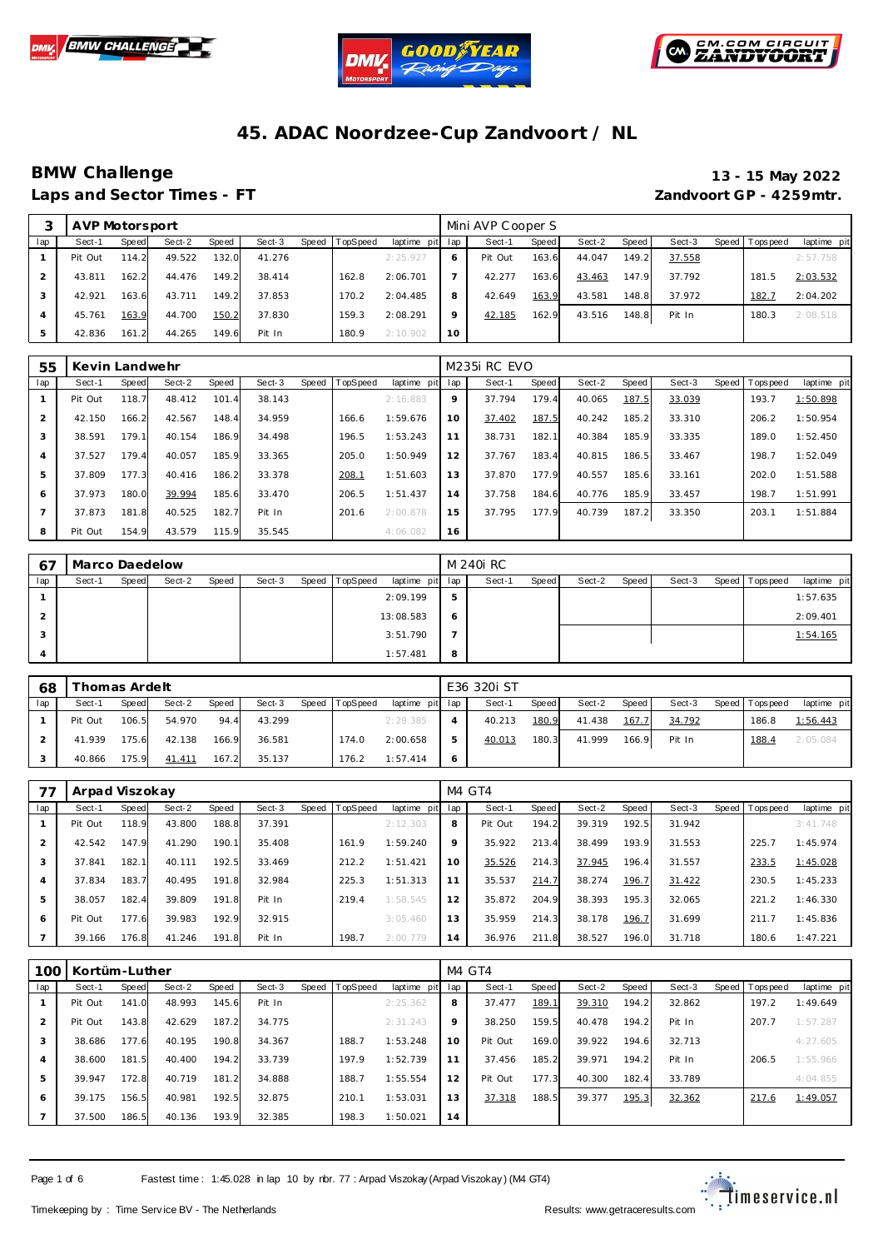





## **BMW Challenge 13 - 15 May 2022**

# **Laps and Sector Times - FT Zandvoort GP - 4259mtr.**

|     | AVP Motorsport |       |        |       |        |           |          |                 |         | Mini AVP Cooper S |       |        |       |        |                |             |
|-----|----------------|-------|--------|-------|--------|-----------|----------|-----------------|---------|-------------------|-------|--------|-------|--------|----------------|-------------|
| lap | Sect-1         | Speed | Sect-2 | Speed | Sect-3 | Speed   T | TopSpeed | laptime pit lap |         | Sect-1            | Speed | Sect-2 | Speed | Sect-3 | Speed Topspeed | laptime pit |
|     | Pit Out        | 114.2 | 49.522 | 132.0 | 41.276 |           |          | 2:25.927        |         | Pit Out           | 163.6 | 44.047 | 149.2 | 37.558 |                | 2:57.758    |
|     | 43.811         | 162.2 | 44.476 | 149.2 | 38.414 |           | 162.8    | 2:06.701        |         | 42.277            | 163.6 | 43.463 | 147.9 | 37.792 | 181.5          | 2:03.532    |
|     | 42.921         | 163.6 | 43.711 | 149.2 | 37.853 |           | 170.2    | 2:04.485        | 8       | 42.649            | 163.9 | 43.581 | 148.8 | 37.972 | 182.7          | 2:04.202    |
|     | 45.761         | 163.9 | 44.700 | 150.2 | 37.830 |           | 159.3    | 2:08.291        | $\circ$ | 42.185            | 162.9 | 43.516 | 148.8 | Pit In | 180.3          | 2:08.518    |
|     | 42.836         | 161.2 | 44.265 | 149.6 | Pit In |           | 180.9    | 2:10.902        | 10      |                   |       |        |       |        |                |             |

| 55  | Kevin Landwehr |       |        |       |        |       |                 |             |     | M <sub>235</sub> RC EVO |       |        |       |        |       |                  |             |
|-----|----------------|-------|--------|-------|--------|-------|-----------------|-------------|-----|-------------------------|-------|--------|-------|--------|-------|------------------|-------------|
| lap | Sect-1         | Speed | Sect-2 | Speed | Sect-3 | Speed | <b>TopSpeed</b> | laptime pit | lap | Sect-1                  | Speed | Sect-2 | Speed | Sect-3 | Speed | <b>Tops peed</b> | laptime pit |
|     | Pit Out        | 118.7 | 48.412 | 101.4 | 38.143 |       |                 | 2:16.883    | 9   | 37.794                  | 179.4 | 40.065 | 187.5 | 33.039 |       | 193.7            | 1:50.898    |
| 2   | 42.150         | 166.2 | 42.567 | 148.4 | 34.959 |       | 166.6           | 1:59.676    | 10  | 37.402                  | 187.5 | 40.242 | 185.2 | 33.310 |       | 206.2            | 1:50.954    |
| 3   | 38.591         | 179.1 | 40.154 | 186.9 | 34.498 |       | 196.5           | 1:53.243    | 11  | 38.731                  | 182.1 | 40.384 | 185.9 | 33.335 |       | 189.0            | 1:52.450    |
| 4   | 37.527         | 179.4 | 40.057 | 185.9 | 33.365 |       | 205.0           | 1:50.949    | 12  | 37.767                  | 183.4 | 40.815 | 186.5 | 33.467 |       | 198.7            | 1:52.049    |
| 5   | 37.809         | 177.3 | 40.416 | 186.2 | 33.378 |       | 208.1           | 1:51.603    | 13  | 37.870                  | 177.9 | 40.557 | 185.6 | 33.161 |       | 202.0            | 1:51.588    |
| 6   | 37.973         | 180.0 | 39.994 | 185.6 | 33.470 |       | 206.5           | 1:51.437    | 14  | 37.758                  | 184.6 | 40.776 | 185.9 | 33.457 |       | 198.7            | 1:51.991    |
|     | 37.873         | 181.8 | 40.525 | 182.7 | Pit In |       | 201.6           | 2:00.878    | 15  | 37.795                  | 177.9 | 40.739 | 187.2 | 33.350 |       | 203.1            | 1:51.884    |
| 8   | Pit Out        | 154.9 | 43.579 | 115.9 | 35.545 |       |                 | 4:06.082    | 16  |                         |       |        |       |        |       |                  |             |

| 67  | Marco Daedelow |       |        |       |        |                  |                 |   | M 240i RC |       |        |       |        |       |           |             |
|-----|----------------|-------|--------|-------|--------|------------------|-----------------|---|-----------|-------|--------|-------|--------|-------|-----------|-------------|
| lap | Sect-1         | Speed | Sect-2 | Speed | Sect-3 | Speed   TopSpeed | laptime pit lap |   | Sect-1    | Speed | Sect-2 | Speed | Sect-3 | Speed | Tops peed | laptime pit |
|     |                |       |        |       |        |                  | 2:09.199        | 5 |           |       |        |       |        |       |           | 1:57.635    |
|     |                |       |        |       |        |                  | 13:08.583       | 6 |           |       |        |       |        |       |           | 2:09.401    |
| 3   |                |       |        |       |        |                  | 3:51.790        |   |           |       |        |       |        |       |           | 1:54.165    |
| 4   |                |       |        |       |        |                  | 1:57.481        | 8 |           |       |        |       |        |       |           |             |

| 68  | Thomas Ardelt |       |        |       |        |                |                 | E36 320i ST |         |        |       |        |                 |             |
|-----|---------------|-------|--------|-------|--------|----------------|-----------------|-------------|---------|--------|-------|--------|-----------------|-------------|
| lap | Sect-1        | Speed | Sect-2 | Speed | Sect-3 | Speed TopSpeed | laptime pit lap | Sect-1      | Speed I | Sect-2 | Speed | Sect-3 | Speed Tops peed | laptime pit |
|     | Pit Out       | 106.5 | 54.970 | 94.4  | 43.299 |                | 2:29.385        | 40.213      | 180.9   | 41.438 | 167.7 | 34.792 | 186.8           | 1:56.443    |
|     | 41.939        | 175.6 | 42.138 | 166.9 | 36.581 | 174.0          | 2:00.658        | 40.013      | 180.3   | 41.999 | 166.9 | Pit In | 188.4           | 2:05.084    |
|     | 40.866        | 175.9 | 41.411 | 167.2 | 35.137 | 176.2          | 1:57.414        |             |         |        |       |        |                 |             |

|     | Arpad Viszokay |       |        |       |        |       |          |                 |    | M4 GT4  |       |        |       |        |                |             |
|-----|----------------|-------|--------|-------|--------|-------|----------|-----------------|----|---------|-------|--------|-------|--------|----------------|-------------|
| lap | Sect-1         | Speed | Sect-2 | Speed | Sect-3 | Speed | TopSpeed | laptime pit lap |    | Sect-1  | Speed | Sect-2 | Speed | Sect-3 | Speed Topspeed | laptime pit |
|     | Pit Out        | 118.9 | 43.800 | 188.8 | 37.391 |       |          | 2:12.303        | 8  | Pit Out | 194.2 | 39.319 | 192.5 | 31.942 |                | 3:41.748    |
|     | 42.542         | 147.9 | 41.290 | 190.1 | 35.408 |       | 161.9    | 1:59.240        | 9  | 35.922  | 213.4 | 38.499 | 193.9 | 31.553 | 225.7          | 1:45.974    |
|     | 37.841         | 182.1 | 40.111 | 192.5 | 33.469 |       | 212.2    | 1:51.421        | 10 | 35.526  | 214.3 | 37.945 | 196.4 | 31.557 | 233.5          | 1:45.028    |
|     | 37.834         | 183.7 | 40.495 | 191.8 | 32.984 |       | 225.3    | 1:51.313        | 11 | 35.537  | 214.7 | 38.274 | 196.7 | 31.422 | 230.5          | 1:45.233    |
| 5   | 38.057         | 182.4 | 39.809 | 191.8 | Pit In |       | 219.4    | 1:58.545        | 12 | 35.872  | 204.9 | 38.393 | 195.3 | 32.065 | 221.2          | 1:46.330    |
| 6   | Pit Out        | 177.6 | 39.983 | 192.9 | 32.915 |       |          | 3:05.460        | 13 | 35.959  | 214.3 | 38.178 | 196.7 | 31.699 | 211.7          | 1:45.836    |
|     | 39.166         | 176.8 | 41.246 | 191.8 | Pit In |       | 198.7    | 2:00.779        | 14 | 36.976  | 211.8 | 38.527 | 196.0 | 31.718 | 180.6          | 1:47.221    |

| 100            | Kortüm-Luther |       |        |       |        |                  |             |     | M4 GT4  |               |        |       |        |       |           |             |
|----------------|---------------|-------|--------|-------|--------|------------------|-------------|-----|---------|---------------|--------|-------|--------|-------|-----------|-------------|
| lap            | Sect-1        | Speed | Sect-2 | Speed | Sect-3 | Speed   TopSpeed | laptime pit | lap | Sect-1  | Speed         | Sect-2 | Speed | Sect-3 | Speed | Tops peed | laptime pit |
|                | Pit Out       | 141.0 | 48.993 | 145.6 | Pit In |                  | 2:25.362    | 8   | 37.477  | <u> 189.1</u> | 39.310 | 194.2 | 32.862 |       | 197.2     | 1:49.649    |
| 2              | Pit Out       | 143.8 | 42.629 | 187.2 | 34.775 |                  | 2:31.243    | 9   | 38.250  | 159.5         | 40.478 | 194.2 | Pit In |       | 207.7     | 1:57.287    |
| 3              | 38.686        | 177.6 | 40.195 | 190.8 | 34.367 | 188.7            | 1:53.248    | 10  | Pit Out | 169.0         | 39.922 | 194.6 | 32.713 |       |           | 4:27.605    |
| 4              | 38.600        | 181.5 | 40.400 | 194.2 | 33.739 | 197.9            | 1:52.739    | 11  | 37.456  | 185.2         | 39.971 | 194.2 | Pit In |       | 206.5     | 1:55.966    |
| 5              | 39.947        | 172.8 | 40.719 | 181.2 | 34.888 | 188.7            | 1:55.554    | 12  | Pit Out | 177.3         | 40.300 | 182.4 | 33.789 |       |           | 4:04.855    |
| 6              | 39.175        | 156.5 | 40.981 | 192.5 | 32.875 | 210.1            | 1:53.031    | 13  | 37.318  | 188.5         | 39.377 | 195.3 | 32.362 |       | 217.6     | 1:49.057    |
| $\overline{7}$ | 37.500        | 186.5 | 40.136 | 193.9 | 32.385 | 198.3            | 1:50.021    | 14  |         |               |        |       |        |       |           |             |

Page 1 of 6 Fastest time : 1:45.028 in lap 10 by rbr. 77 : Arpad Viszokay (Arpad Viszokay) (M4 GT4)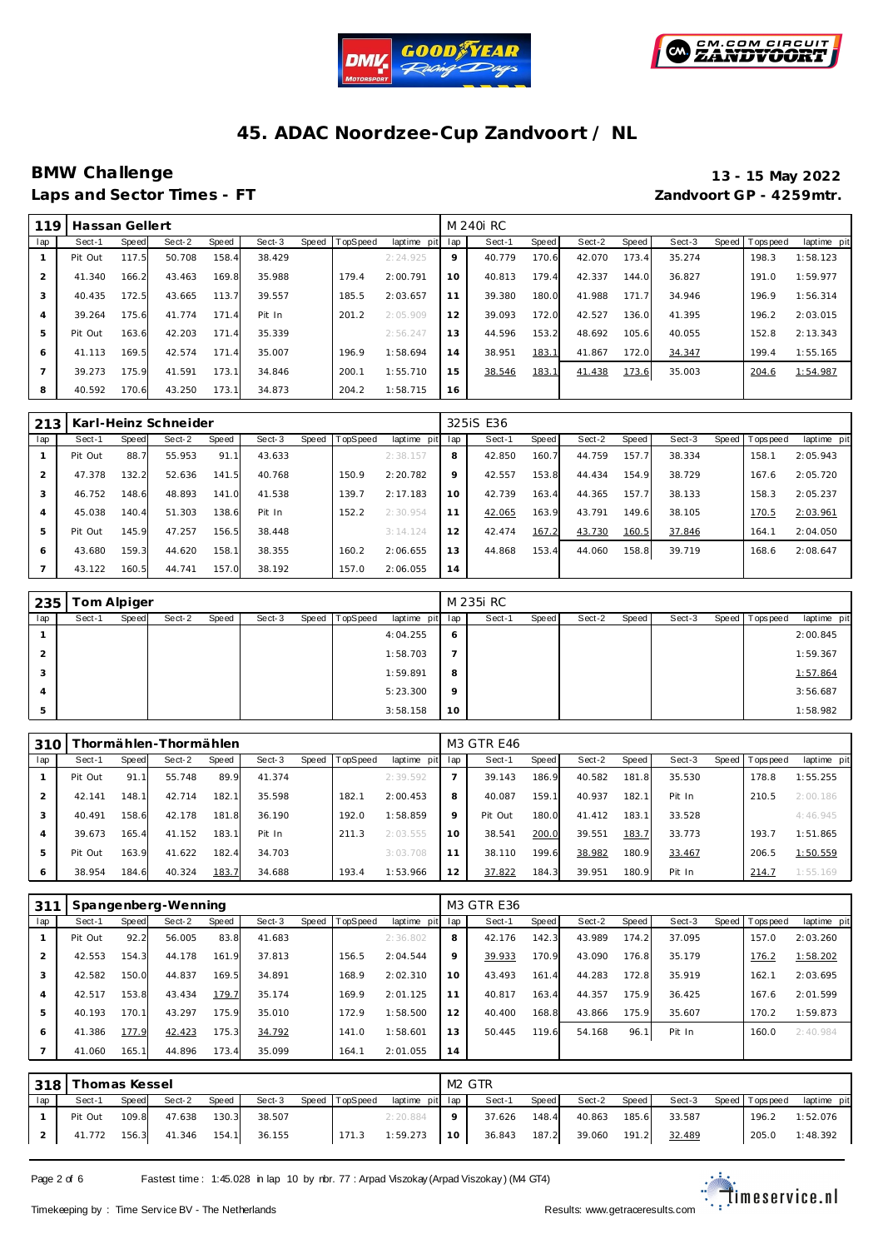



### **BMW Challenge 13 - 15 May 2022 Laps and Sector Times - FT Zandvoort GP - 4259mtr.**

| 119 | Hassan Gellert |       |        |       |        |       |                 |             |     | M 240i RC |       |        |       |        |                   |             |
|-----|----------------|-------|--------|-------|--------|-------|-----------------|-------------|-----|-----------|-------|--------|-------|--------|-------------------|-------------|
| lap | Sect-1         | Speed | Sect-2 | Speed | Sect-3 | Speed | <b>TopSpeed</b> | laptime pit | lap | Sect-1    | Speed | Sect-2 | Speed | Sect-3 | Speed   Tops peed | laptime pit |
|     | Pit Out        | 117.5 | 50.708 | 158.4 | 38.429 |       |                 | 2:24.925    | 9   | 40.779    | 170.6 | 42.070 | 173.4 | 35.274 | 198.3             | 1:58.123    |
| 2   | 41.340         | 166.2 | 43.463 | 169.8 | 35.988 |       | 179.4           | 2:00.791    | 10  | 40.813    | 179.4 | 42.337 | 144.0 | 36.827 | 191.0             | 1:59.977    |
| 3   | 40.435         | 172.5 | 43.665 | 113.7 | 39.557 |       | 185.5           | 2:03.657    | 11  | 39.380    | 180.0 | 41.988 | 171.7 | 34.946 | 196.9             | 1:56.314    |
| 4   | 39.264         | 175.6 | 41.774 | 171.4 | Pit In |       | 201.2           | 2:05.909    | 12  | 39.093    | 172.0 | 42.527 | 136.0 | 41.395 | 196.2             | 2:03.015    |
| 5   | Pit Out        | 163.6 | 42.203 | 171.4 | 35.339 |       |                 | 2:56.247    | 13  | 44.596    | 153.2 | 48.692 | 105.6 | 40.055 | 152.8             | 2:13.343    |
| 6   | 41.113         | 169.5 | 42.574 | 171.4 | 35.007 |       | 196.9           | 1:58.694    | 14  | 38.951    | 183.1 | 41.867 | 172.0 | 34.347 | 199.4             | 1:55.165    |
|     | 39.273         | 175.9 | 41.591 | 173.1 | 34.846 |       | 200.1           | 1:55.710    | 15  | 38.546    | 183.1 | 41.438 | 173.6 | 35.003 | 204.6             | 1:54.987    |
| 8   | 40.592         | 170.6 | 43.250 | 173.1 | 34.873 |       | 204.2           | 1:58.715    | 16  |           |       |        |       |        |                   |             |

| 213            |         |       | Karl-Heinz Schneider |       |        |       |          |             |     | 3251S E36 |       |        |       |        |                   |             |
|----------------|---------|-------|----------------------|-------|--------|-------|----------|-------------|-----|-----------|-------|--------|-------|--------|-------------------|-------------|
| lap            | Sect-1  | Speed | Sect-2               | Speed | Sect-3 | Speed | TopSpeed | laptime pit | lap | Sect-1    | Speed | Sect-2 | Speed | Sect-3 | Speed   Tops peed | laptime pit |
|                | Pit Out | 88.7  | 55.953               | 91.1  | 43.633 |       |          | 2:38.157    | 8   | 42.850    | 160.7 | 44.759 | 157.7 | 38.334 | 158.1             | 2:05.943    |
| $\overline{2}$ | 47.378  | 132.2 | 52.636               | 141.5 | 40.768 |       | 150.9    | 2:20.782    | 9   | 42.557    | 153.8 | 44.434 | 154.9 | 38.729 | 167.6             | 2:05.720    |
| 3              | 46.752  | 148.6 | 48.893               | 141.0 | 41.538 |       | 139.7    | 2:17.183    | 10  | 42.739    | 163.4 | 44.365 | 157.7 | 38.133 | 158.3             | 2:05.237    |
| $\overline{4}$ | 45.038  | 140.4 | 51.303               | 138.6 | Pit In |       | 152.2    | 2:30.954    | 11  | 42.065    | 163.9 | 43.791 | 149.6 | 38.105 | 170.5             | 2:03.961    |
| 5              | Pit Out | 145.9 | 47.257               | 156.5 | 38.448 |       |          | 3:14.124    | 12  | 42.474    | 167.2 | 43.730 | 160.5 | 37.846 | 164.1             | 2:04.050    |
| 6              | 43.680  | 159.3 | 44.620               | 158.1 | 38.355 |       | 160.2    | 2:06.655    | 13  | 44.868    | 153.4 | 44.060 | 158.8 | 39.719 | 168.6             | 2:08.647    |
|                | 43.122  | 160.5 | 44.741               | 157.0 | 38.192 |       | 157.0    | 2:06.055    | 14  |           |       |        |       |        |                   |             |

| 235 |        | Tom Alpiger |        |       |        |       |          |                 |         | M 235i RC |       |        |       |        |                |             |
|-----|--------|-------------|--------|-------|--------|-------|----------|-----------------|---------|-----------|-------|--------|-------|--------|----------------|-------------|
| lap | Sect-1 | Speed       | Sect-2 | Speed | Sect-3 | Speed | TopSpeed | laptime pit lap |         | Sect-1    | Speed | Sect-2 | Speed | Sect-3 | Speed Topspeed | laptime pit |
|     |        |             |        |       |        |       |          | 4:04.255        | $\circ$ |           |       |        |       |        |                | 2:00.845    |
| 2   |        |             |        |       |        |       |          | 1:58.703        |         |           |       |        |       |        |                | 1:59.367    |
| 3   |        |             |        |       |        |       |          | 1:59.891        | 8       |           |       |        |       |        |                | 1:57.864    |
| 4   |        |             |        |       |        |       |          | 5:23.300        | 9       |           |       |        |       |        |                | 3:56.687    |
| 5   |        |             |        |       |        |       |          | 3:58.158        | 10      |           |       |        |       |        |                | 1:58.982    |

| 310 |         |       | hormählen-Thormählen: |       |        |       |                 |             |     | <b>M3 GTR E46</b> |       |        |       |        |       |           |             |
|-----|---------|-------|-----------------------|-------|--------|-------|-----------------|-------------|-----|-------------------|-------|--------|-------|--------|-------|-----------|-------------|
| lap | Sect-1  | Speed | Sect-2                | Speed | Sect-3 | Speed | <b>TopSpeed</b> | laptime pit | lap | Sect-1            | Speed | Sect-2 | Speed | Sect-3 | Speed | Tops peed | laptime pit |
|     | Pit Out | 91.1  | 55.748                | 89.9  | 41.374 |       |                 | 2:39.592    |     | 39.143            | 186.9 | 40.582 | 181.8 | 35.530 |       | 178.8     | 1:55.255    |
|     | 42.141  | 148.1 | 42.714                | 182.1 | 35.598 |       | 182.7           | 2:00.453    | 8   | 40.087            | 159.1 | 40.937 | 182.7 | Pit In |       | 210.5     | 2:00.186    |
|     | 40.491  | 158.6 | 42.178                | 181.8 | 36.190 |       | 192.0           | 1:58.859    | 9   | Pit Out           | 180.0 | 41.412 | 183.1 | 33.528 |       |           | 4:46.945    |
|     | 39.673  | 165.4 | 41.152                | 183.1 | Pit In |       | 211.3           | 2:03.555    | 10  | 38.541            | 200.0 | 39.551 | 183.7 | 33.773 |       | 193.7     | 1:51.865    |
| 5   | Pit Out | 163.9 | 41.622                | 182.4 | 34.703 |       |                 | 3:03.708    | 11  | 38.110            | 199.6 | 38.982 | 180.9 | 33.467 |       | 206.5     | 1:50.559    |
| 6   | 38.954  | 184.6 | 40.324                | 183.7 | 34.688 |       | 193.4           | 1:53.966    | 12  | 37.822            | 184.3 | 39.951 | 180.9 | Pit In |       | 214.7     | 1:55.169    |

| 311 |         |       | Spangenberg-Wenning |       |        |       |                 |             |     | <b>M3 GTR E36</b> |       |        |       |        |                |             |
|-----|---------|-------|---------------------|-------|--------|-------|-----------------|-------------|-----|-------------------|-------|--------|-------|--------|----------------|-------------|
| lap | Sect-1  | Speed | Sect-2              | Speed | Sect-3 | Speed | <b>TopSpeed</b> | laptime pit | lap | Sect-1            | Speed | Sect-2 | Speed | Sect-3 | Speed Topspeed | laptime pit |
|     | Pit Out | 92.2  | 56.005              | 83.8  | 41.683 |       |                 | 2:36.802    | 8   | 42.176            | 142.3 | 43.989 | 174.2 | 37.095 | 157.0          | 2:03.260    |
|     | 42.553  | 154.3 | 44.178              | 161.9 | 37.813 |       | 156.5           | 2:04.544    | 9   | 39.933            | 170.9 | 43.090 | 176.8 | 35.179 | 176.2          | 1:58.202    |
| 3   | 42.582  | 150.0 | 44.837              | 169.5 | 34.891 |       | 168.9           | 2:02.310    | 10  | 43.493            | 161.4 | 44.283 | 172.8 | 35.919 | 162.1          | 2:03.695    |
| 4   | 42.517  | 153.8 | 43.434              | 179.7 | 35.174 |       | 169.9           | 2:01.125    | 11  | 40.817            | 163.4 | 44.357 | 175.9 | 36.425 | 167.6          | 2:01.599    |
| 5   | 40.193  | 170.1 | 43.297              | 175.9 | 35.010 |       | 172.9           | 1:58.500    | 12  | 40.400            | 168.8 | 43.866 | 175.9 | 35.607 | 170.2          | 1:59.873    |
| 6   | 41.386  | 177.9 | 42.423              | 175.3 | 34.792 |       | 141.0           | 1:58.601    | 13  | 50.445            | 119.6 | 54.168 | 96.1  | Pit In | 160.0          | 2:40.984    |
|     | 41.060  | 165.1 | 44.896              | 173.4 | 35.099 |       | 164.1           | 2:01.055    | 14  |                   |       |        |       |        |                |             |

|    | 318 Thomas Kessel |              |        |       |                     |                |                 |             | M <sub>2</sub> GTR |       |        |       |        |                 |             |
|----|-------------------|--------------|--------|-------|---------------------|----------------|-----------------|-------------|--------------------|-------|--------|-------|--------|-----------------|-------------|
| 1a | Sect-1            | <b>Speed</b> | Sect-2 | Speed | Sect-3              | Speed TopSpeed | laptime pit lap |             | Sect-1             | Speed | Sect-2 | Speed | Sect-3 | Speed Tops peed | laptime pit |
|    | Pit Out           | 109.8        | 47.638 | 130.3 | 38.507              |                | 2:20.884        | $\mathbf Q$ | 37.626             | 148.4 | 40.863 | 185.6 | 33.587 | 196.2           | 1:52.076    |
|    | 41.772            | 156.3        |        |       | 41.346 154.1 36.155 | 171.3          | 1:59.273        | 10          | 36.843             | 187.2 | 39.060 | 191.2 | 32.489 | 205.0           | 1:48.392    |

Page 2 of 6 Fastest time : 1:45.028 in lap 10 by rbr. 77 : Arpad Viszokay (Arpad Viszokay) (M4 GT4)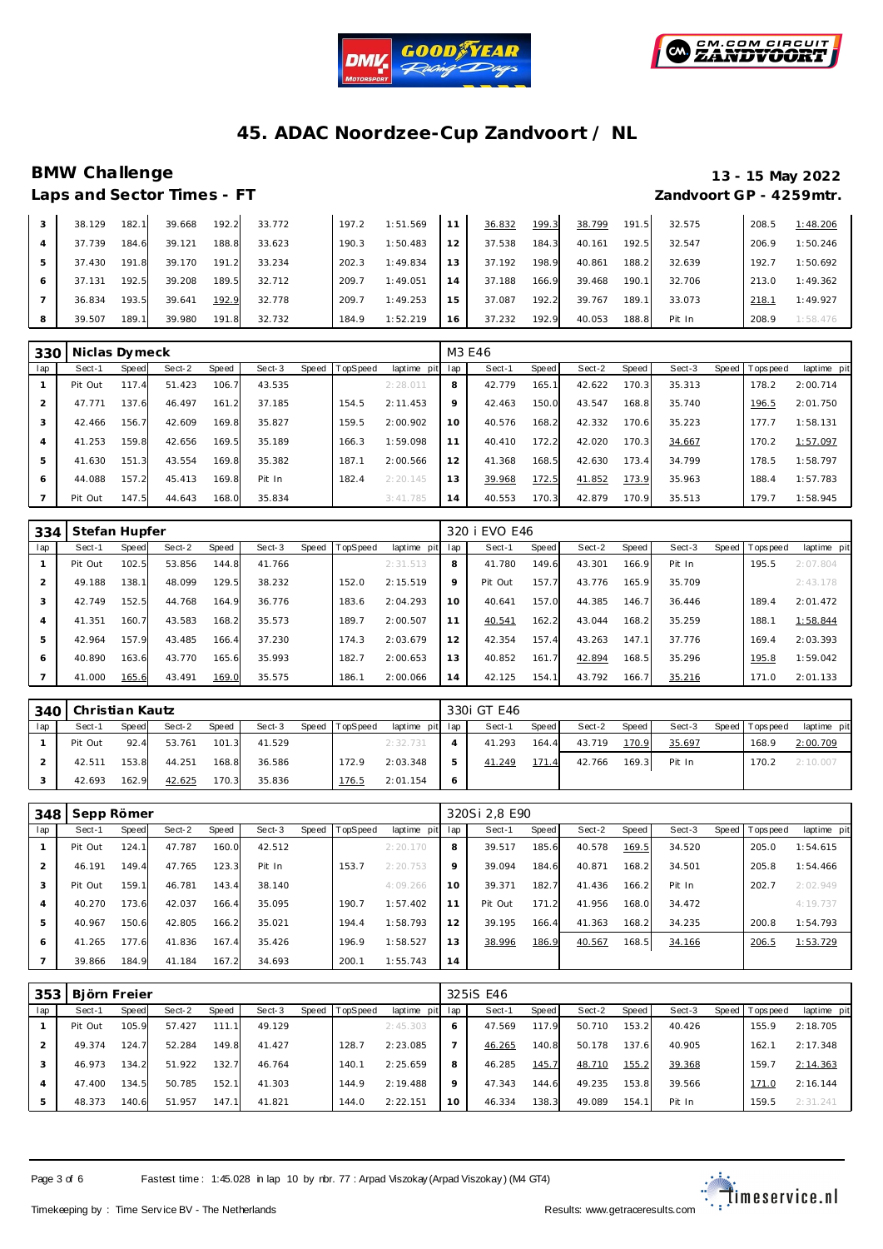



### **BMW Challenge 13 - 15 May 2022 Laps and Sector Times - FT Zandvoort GP - 4259mtr.**

|   | 38.129 | 182.1 | 39.668 | 192.2 | 33.772 | 197.2 | 1:51.569 |    | 36.832 | 199.3 | 38.799 | 191.5  | 32.575 | 208.5 | 1:48.206 |
|---|--------|-------|--------|-------|--------|-------|----------|----|--------|-------|--------|--------|--------|-------|----------|
|   | 37.739 | 184.6 | 39.121 | 188.8 | 33.623 | 190.3 | 1:50.483 | 12 | 37.538 | 184.3 | 40.161 | 192.5  | 32.547 | 206.9 | 1:50.246 |
|   | 37.430 | 191.8 | 39.170 | 191.2 | 33.234 | 202.3 | 1:49.834 | 13 | 37.192 | 198.9 | 40.861 | 188.2  | 32.639 | 192.7 | 1:50.692 |
|   | 37.131 | 192.5 | 39.208 | 189.5 | 32.712 | 209.7 | 1:49.051 | 14 | 37.188 | 166.9 | 39.468 | 190.1  | 32.706 | 213.0 | 1:49.362 |
|   | 36.834 | 193.5 | 39.641 | 192.9 | 32.778 | 209.  | 1:49.253 | 15 | 37.087 | 192.2 | 39.767 | 189.11 | 33.073 | 218.7 | 1:49.927 |
| 8 | 39.507 | 189.1 | 39.980 | 191.8 | 32.732 | 184.9 | 1:52.219 | 16 | 37.232 | 192.9 | 40.053 | 188.8  | Pit In | 208.9 | 1:58.476 |

| 330            | Niclas Dymeck |       |        |       |        |       |                 |                |         | M3 E46 |       |        |       |        |       |           |             |
|----------------|---------------|-------|--------|-------|--------|-------|-----------------|----------------|---------|--------|-------|--------|-------|--------|-------|-----------|-------------|
| lap            | Sect-1        | Speed | Sect-2 | Speed | Sect-3 | Speed | <b>TopSpeed</b> | laptime<br>pit | lap     | Sect-1 | Speed | Sect-2 | Speed | Sect-3 | Speed | Tops peed | laptime pit |
|                | Pit Out       | 117.4 | 51.423 | 106.7 | 43.535 |       |                 | 2:28.011       | 8       | 42.779 | 165.1 | 42.622 | 170.3 | 35.313 |       | 178.2     | 2:00.714    |
| $\overline{2}$ | 47.771        | 137.6 | 46.497 | 161.2 | 37.185 |       | 154.5           | 2:11.453       | $\circ$ | 42.463 | 150.0 | 43.547 | 168.8 | 35.740 |       | 196.5     | 2:01.750    |
| 3              | 42.466        | 156.7 | 42.609 | 169.8 | 35.827 |       | 159.5           | 2:00.902       | 10      | 40.576 | 168.2 | 42.332 | 170.6 | 35.223 |       | 177.7     | 1:58.131    |
| $\overline{4}$ | 41.253        | 159.8 | 42.656 | 169.5 | 35.189 |       | 166.3           | 1:59.098       | 11      | 40.410 | 172.2 | 42.020 | 170.3 | 34.667 |       | 170.2     | 1:57.097    |
| 5              | 41.630        | 151.3 | 43.554 | 169.8 | 35.382 |       | 187.1           | 2:00.566       | 12      | 41.368 | 168.5 | 42.630 | 173.4 | 34.799 |       | 178.5     | 1:58.797    |
| 6              | 44.088        | 157.2 | 45.413 | 169.8 | Pit In |       | 182.4           | 2:20.145       | 13      | 39.968 | 172.5 | 41.852 | 173.9 | 35.963 |       | 188.4     | 1:57.783    |
|                | Pit Out       | 147.5 | 44.643 | 168.0 | 35.834 |       |                 | 3:41.785       | 14      | 40.553 | 170.3 | 42.879 | 170.9 | 35.513 |       | 179.7     | 1:58.945    |

| 334 | Stefan Hupfer |       |        |       |        |       |          |             |     | 320 i EVO E46 |       |        |       |        |                |             |
|-----|---------------|-------|--------|-------|--------|-------|----------|-------------|-----|---------------|-------|--------|-------|--------|----------------|-------------|
| lap | Sect-1        | Speed | Sect-2 | Speed | Sect-3 | Speed | TopSpeed | laptime pit | lap | Sect-1        | Speed | Sect-2 | Speed | Sect-3 | Speed Topspeed | laptime pit |
|     | Pit Out       | 102.5 | 53.856 | 144.8 | 41.766 |       |          | 2:31.513    | 8   | 41.780        | 149.6 | 43.301 | 166.9 | Pit In | 195.5          | 2:07.804    |
| 2   | 49.188        | 138.1 | 48.099 | 129.5 | 38.232 |       | 152.0    | 2:15.519    | 9   | Pit Out       | 157.7 | 43.776 | 165.9 | 35.709 |                | 2:43.178    |
| 3   | 42.749        | 152.5 | 44.768 | 164.9 | 36.776 |       | 183.6    | 2:04.293    | 10  | 40.641        | 157.0 | 44.385 | 146.7 | 36.446 | 189.4          | 2:01.472    |
| 4   | 41.351        | 160.7 | 43.583 | 168.2 | 35.573 |       | 189.7    | 2:00.507    | 11  | 40.541        | 162.2 | 43.044 | 168.2 | 35.259 | 188.           | 1:58.844    |
| 5   | 42.964        | 157.9 | 43.485 | 166.4 | 37.230 |       | 174.3    | 2:03.679    | 12  | 42.354        | 157.4 | 43.263 | 147.1 | 37.776 | 169.4          | 2:03.393    |
| 6   | 40.890        | 163.6 | 43.770 | 165.6 | 35.993 |       | 182.7    | 2:00.653    | 13  | 40.852        | 161.7 | 42.894 | 168.5 | 35.296 | 195.8          | 1:59.042    |
|     | 41.000        | 165.6 | 43.491 | 169.0 | 35.575 |       | 186.1    | 2:00.066    | 14  | 42.125        | 154.1 | 43.792 | 166.7 | 35.216 | 171.0          | 2:01.133    |

|     | 340   Christian Kautz |       |        |       |        |                |             |                | 330i GT E46 |       |        |       |        |                |             |
|-----|-----------------------|-------|--------|-------|--------|----------------|-------------|----------------|-------------|-------|--------|-------|--------|----------------|-------------|
| lap | Sect-1                | Speed | Sect-2 | Speed | Sect-3 | Speed TopSpeed | laptime pit | lap            | Sect-1      | Speed | Sect-2 | Speed | Sect-3 | Speed Topspeed | laptime pit |
|     | Pit Out               | 92.4  | 53.761 | 101.3 | 41.529 |                | 2:32.731    | $\overline{A}$ | 41.293      | 164.4 | 43.719 | 170.9 | 35.697 | 168.9          | 2:00.709    |
|     | 42.511                | 153.8 | 44.251 | 168.8 | 36.586 | 172.9          | 2:03.348    | 5              | 41.249      | 171.4 | 42.766 | 169.3 | Pit In | 170.2          | 2:10.007    |
|     | 42.693                | 162.9 | 42.625 | 170.3 | 35.836 | 176.5          | 2:01.154    | $\circ$        |             |       |        |       |        |                |             |

| 348            | Sepp Römer |       |        |       |        |       |                 |             |     | 320Si 2.8 E90 |       |        |       |        |       |           |             |
|----------------|------------|-------|--------|-------|--------|-------|-----------------|-------------|-----|---------------|-------|--------|-------|--------|-------|-----------|-------------|
| lap            | Sect-1     | Speed | Sect-2 | Speed | Sect-3 | Speed | <b>TopSpeed</b> | laptime pit | lap | Sect-1        | Speed | Sect-2 | Speed | Sect-3 | Speed | Tops peed | laptime pit |
|                | Pit Out    | 124.1 | 47.787 | 160.0 | 42.512 |       |                 | 2:20.170    | 8   | 39.517        | 185.6 | 40.578 | 169.5 | 34.520 |       | 205.0     | 1:54.615    |
|                | 46.191     | 149.4 | 47.765 | 123.3 | Pit In |       | 153.7           | 2:20.753    | 9   | 39.094        | 184.6 | 40.871 | 168.2 | 34.501 |       | 205.8     | 1:54.466    |
| 3              | Pit Out    | 159.1 | 46.781 | 143.4 | 38.140 |       |                 | 4:09.266    | 10  | 39.371        | 182.7 | 41.436 | 166.2 | Pit In |       | 202.7     | 2:02.949    |
| $\overline{4}$ | 40.270     | 173.6 | 42.037 | 166.4 | 35.095 |       | 190.7           | 1:57.402    | 11  | Pit Out       | 171.2 | 41.956 | 168.0 | 34.472 |       |           | 4:19.737    |
| 5              | 40.967     | 150.6 | 42.805 | 166.2 | 35.021 |       | 194.4           | 1:58.793    | 12  | 39.195        | 166.4 | 41.363 | 168.2 | 34.235 |       | 200.8     | 1:54.793    |
| 6              | 41.265     | 177.6 | 41.836 | 167.4 | 35.426 |       | 196.9           | 1:58.527    | 13  | 38.996        | 186.9 | 40.567 | 168.5 | 34.166 |       | 206.5     | 1:53.729    |
|                | 39.866     | 184.9 | 41.184 | 167.2 | 34.693 |       | 200.1           | 1:55.743    | 14  |               |       |        |       |        |       |           |             |

| 353 | Björn Freier |       |        |        |        |                |             |     | 3251S E46 |       |        |       |        |                |             |
|-----|--------------|-------|--------|--------|--------|----------------|-------------|-----|-----------|-------|--------|-------|--------|----------------|-------------|
| lap | Sect-1       | Speed | Sect-2 | Speed  | Sect-3 | Speed TopSpeed | laptime pit | lap | Sect-1    | Speed | Sect-2 | Speed | Sect-3 | Speed Topspeed | laptime pit |
|     | Pit Out      | 105.9 | 57.427 | 111.11 | 49.129 |                | 2:45.303    | 6   | 47.569    | 117.9 | 50.710 | 153.2 | 40.426 | 155.9          | 2:18.705    |
|     | 49.374       | 124.7 | 52.284 | 149.8  | 41.427 | 128.7          | 2:23.085    |     | 46.265    | 140.8 | 50.178 | 137.6 | 40.905 | 162.1          | 2:17.348    |
|     | 46.973       | 134.2 | 51.922 | 132.7  | 46.764 | 140.1          | 2:25.659    | 8   | 46.285    | 145.7 | 48.710 | 155.2 | 39.368 | 159.7          | 2:14.363    |
| 4   | 47.400       | 134.5 | 50.785 | 152.1  | 41.303 | 144.9          | 2:19.488    | 9   | 47.343    | 144.6 | 49.235 | 153.8 | 39.566 | 171.0          | 2:16.144    |
| 5   | 48.373       | 140.6 | 51.957 | 147.1  | 41.821 | 144.0          | 2:22.151    | 10  | 46.334    | 138.3 | 49.089 | 154.1 | Pit In | 159.5          | 2:31.241    |

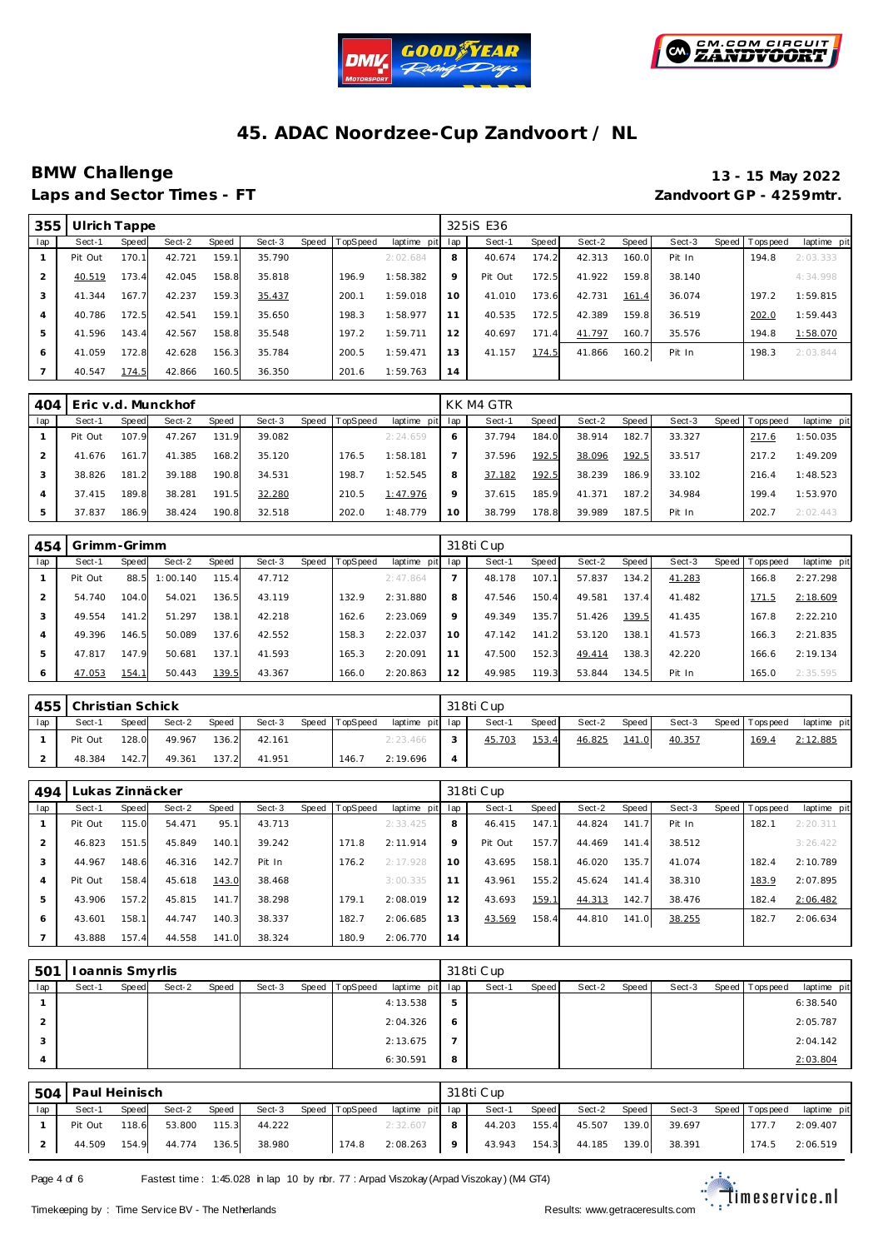



### **BMW Challenge 13 - 15 May 2022 Laps and Sector Times - FT Zandvoort GP - 4259mtr.**

| 355 | Ulrich Tappe |       |        |       |        |       |          |             |     | 3251S E36 |       |        |       |        |                |             |
|-----|--------------|-------|--------|-------|--------|-------|----------|-------------|-----|-----------|-------|--------|-------|--------|----------------|-------------|
| lap | Sect-1       | Speed | Sect-2 | Speed | Sect-3 | Speed | TopSpeed | laptime pit | lap | Sect-1    | Speed | Sect-2 | Speed | Sect-3 | Speed Topspeed | laptime pit |
|     | Pit Out      | 170.1 | 42.721 | 159.1 | 35.790 |       |          | 2:02.684    | 8   | 40.674    | 174.2 | 42.313 | 160.0 | Pit In | 194.8          | 2:03.333    |
|     | 40.519       | 173.4 | 42.045 | 158.8 | 35.818 |       | 196.9    | 1:58.382    | 9   | Pit Out   | 172.5 | 41.922 | 159.8 | 38.140 |                | 4:34.998    |
| 3   | 41.344       | 167.7 | 42.237 | 159.3 | 35.437 |       | 200.1    | 1:59.018    | 10  | 41.010    | 173.6 | 42.731 | 161.4 | 36.074 | 197.2          | 1:59.815    |
| 4   | 40.786       | 172.5 | 42.541 | 159.1 | 35.650 |       | 198.3    | 1:58.977    | 11  | 40.535    | 172.5 | 42.389 | 159.8 | 36.519 | 202.0          | 1:59.443    |
| 5   | 41.596       | 143.4 | 42.567 | 158.8 | 35.548 |       | 197.2    | 1:59.711    | 12  | 40.697    | 171.4 | 41.797 | 160.7 | 35.576 | 194.8          | 1:58.070    |
| 6   | 41.059       | 172.8 | 42.628 | 156.3 | 35.784 |       | 200.5    | 1:59.471    | 13  | 41.157    | 174.5 | 41.866 | 160.2 | Pit In | 198.3          | 2:03.844    |
|     | 40.547       | 174.5 | 42.866 | 160.5 | 36.350 |       | 201.6    | 1:59.763    | 14  |           |       |        |       |        |                |             |

| 404 |         |       | Eric v.d. Munckhof |              |        |       |          |             |         | KK M4 GTR |       |        |       |        |                 |             |
|-----|---------|-------|--------------------|--------------|--------|-------|----------|-------------|---------|-----------|-------|--------|-------|--------|-----------------|-------------|
| lap | Sect-1  | Speed | Sect-2             | <b>Speed</b> | Sect-3 | Speed | TopSpeed | laptime pit | lap     | Sect-1    | Speed | Sect-2 | Speed | Sect-3 | Speed Tops peed | laptime pit |
|     | Pit Out | 107.9 | 47.267             | 131.9        | 39.082 |       |          | 2:24.659    |         | 37.794    | 184.0 | 38.914 | 182.7 | 33.327 | 217.6           | 1:50.035    |
|     | 41.676  | 161.7 | 41.385             | 168.2        | 35.120 |       | 176.5    | 1:58.181    |         | 37.596    | 192.5 | 38.096 | 192.5 | 33.517 | 217.2           | 1:49.209    |
|     | 38.826  | 181.2 | 39.188             | 190.8        | 34.531 |       | 198.7    | 1:52.545    | 8       | 37.182    | 192.5 | 38.239 | 186.9 | 33.102 | 216.4           | 1:48.523    |
| 4   | 37.415  | 189.8 | 38.281             | 191.5        | 32.280 |       | 210.5    | 1:47.976    | $\circ$ | 37.615    | 185.9 | 41.371 | 187.2 | 34.984 | 199.4           | 1:53.970    |
| 5   | 37.837  | 186.9 | 38.424             | 190.8        | 32.518 |       | 202.0    | 1:48.779    | 10      | 38.799    | 178.8 | 39.989 | 187.5 | Pit In | 202.7           | 2:02.443    |

| 454 | Grimm-Grimm |       |          |              |        |       |         |             |         | 318ti Cup |       |        |                       |        |       |           |             |
|-----|-------------|-------|----------|--------------|--------|-------|---------|-------------|---------|-----------|-------|--------|-----------------------|--------|-------|-----------|-------------|
| lap | Sect-1      | Speed | Sect-2   | <b>Speed</b> | Sect-3 | Speed | opSpeed | laptime pit | lap     | Sect-1    | Speed | Sect-2 | Speed                 | Sect-3 | Speed | Tops peed | laptime pit |
|     | Pit Out     | 88.5  | 1:00.140 | 115.4        | 47.712 |       |         | 2:47.864    |         | 48.178    | 107.1 | 57.837 | 134.2                 | 41.283 |       | 166.8     | 2:27.298    |
|     | 54.740      | 104.0 | 54.021   | 136.5        | 43.119 |       | 132.9   | 2:31.880    | 8       | 47.546    | 150.4 | 49.581 | 137<br>$\overline{4}$ | 41.482 |       | 171.5     | 2:18.609    |
|     | 49.554      | 141.2 | 51.297   | 138.1        | 42.218 |       | 162.6   | 2:23.069    | $\circ$ | 49.349    | 135.7 | 51.426 | 139.5                 | 41.435 |       | 167.8     | 2:22.210    |
| 4   | 49.396      | 146.5 | 50.089   | 137.6        | 42.552 |       | 158.3   | 2:22.037    | 10      | 47.142    | 141.2 | 53.120 | 138.1                 | 41.573 |       | 166.3     | 2:21.835    |
| 5   | 47.817      | 147.9 | 50.681   | 137.1        | 41.593 |       | 165.3   | 2:20.091    | 11      | 47.500    | 152.3 | 49.414 | 138.3                 | 42.220 |       | 166.6     | 2:19.134    |
| 6   | 47.053      | 154.1 | 50.443   | 139.5        | 43.367 |       | 166.0   | 2:20.863    | 12      | 49.985    | 119.3 | 53.844 | 134.5                 | Pit In |       | 165.0     | 2:35.595    |

|                 | 455 Christian Schick |       |        |       |        |                |                 |   | 318ti Cup |       |        |       |        |                   |             |
|-----------------|----------------------|-------|--------|-------|--------|----------------|-----------------|---|-----------|-------|--------|-------|--------|-------------------|-------------|
| 1a <sub>D</sub> | Sect-1               | Speed | Sect-2 | Speed | Sect-3 | Speed TopSpeed | laptime pit lap |   | Sect-1    | Speed | Sect-2 | Speed | Sect-3 | Speed   Tops peed | laptime pit |
|                 | Pit Out              | 128.0 | 49.967 | 136.2 | 42.161 |                | 2: 23.466       |   | 45.703    | 153.4 | 46.825 | 141.0 | 40.357 | 169.4             | 2:12.885    |
|                 | 48.384               | 142.7 | 49.361 | 137.2 | 41.951 | 146.7          | 2:19.696        | 4 |           |       |        |       |        |                   |             |

| 494            | Lukas Zinnäcker |       |        |       |        |       |          |             |     | 318ti Cup |       |        |       |        |                |             |
|----------------|-----------------|-------|--------|-------|--------|-------|----------|-------------|-----|-----------|-------|--------|-------|--------|----------------|-------------|
| lap            | Sect-1          | Speed | Sect-2 | Speed | Sect-3 | Speed | TopSpeed | laptime pit | lap | Sect-1    | Speed | Sect-2 | Speed | Sect-3 | Speed Topspeed | laptime pit |
|                | Pit Out         | 115.0 | 54.471 | 95.1  | 43.713 |       |          | 2:33.425    | 8   | 46.415    | 147.1 | 44.824 | 141.7 | Pit In | 182.1          | 2:20.311    |
| $\overline{2}$ | 46.823          | 151.5 | 45.849 | 140.1 | 39.242 |       | 171.8    | 2:11.914    | 9   | Pit Out   | 157.7 | 44.469 | 141.4 | 38.512 |                | 3:26.422    |
| 3              | 44.967          | 148.6 | 46.316 | 142.7 | Pit In |       | 176.2    | 2:17.928    | 10  | 43.695    | 158.1 | 46.020 | 135.7 | 41.074 | 182.4          | 2:10.789    |
| $\overline{A}$ | Pit Out         | 158.4 | 45.618 | 143.0 | 38.468 |       |          | 3:00.335    | 11  | 43.961    | 155.2 | 45.624 | 141.4 | 38.310 | 183.9          | 2:07.895    |
| 5              | 43.906          | 157.2 | 45.815 | 141.7 | 38.298 |       | 179.1    | 2:08.019    | 12  | 43.693    | 159.1 | 44.313 | 142.7 | 38.476 | 182.4          | 2:06.482    |
| 6              | 43.601          | 158.1 | 44.747 | 140.3 | 38.337 |       | 182.7    | 2:06.685    | 13  | 43.569    | 158.4 | 44.810 | 141.0 | 38.255 | 182.7          | 2:06.634    |
|                | 43.888          | 157.4 | 44.558 | 141.0 | 38.324 |       | 180.9    | 2:06.770    | 14  |           |       |        |       |        |                |             |

| 501 | I oannis Smyrlis |        |       |        |       |          |                 |         | 318ti Cup |       |        |       |        |                 |             |
|-----|------------------|--------|-------|--------|-------|----------|-----------------|---------|-----------|-------|--------|-------|--------|-----------------|-------------|
| lap | Sect-1<br>Speed  | Sect-2 | Speed | Sect-3 | Speed | TopSpeed | laptime pit lap |         | Sect-1    | Speed | Sect-2 | Speed | Sect-3 | Speed Tops peed | laptime pit |
|     |                  |        |       |        |       |          | 4:13.538        | 5       |           |       |        |       |        |                 | 6:38.540    |
| ∠   |                  |        |       |        |       |          | 2:04.326        | $\circ$ |           |       |        |       |        |                 | 2:05.787    |
|     |                  |        |       |        |       |          | 2:13.675        | -       |           |       |        |       |        |                 | 2:04.142    |
| 4   |                  |        |       |        |       |          | 6:30.591        | 8       |           |       |        |       |        |                 | 2:03.804    |

|     | 504   Paul Heinisch |       |              |       |        |       |          |                 |   | 318ti Cup    |       |        |       |        |  |                   |             |  |  |
|-----|---------------------|-------|--------------|-------|--------|-------|----------|-----------------|---|--------------|-------|--------|-------|--------|--|-------------------|-------------|--|--|
| lap | Sect-1              | Speed | Sect-2       | Speed | Sect-3 | Speed | TopSpeed | laptime pit lap |   | Sect-1       | Speed | Sect-2 | Speed | Sect-3 |  | Speed   Tops peed | laptime pit |  |  |
|     | Pit Out             | 118.6 | 53.800 115.3 |       | 44.222 |       |          | 2:32.607        | 8 | 44.203       | 155.4 | 45.507 | 139.0 | 39.697 |  | 177.7             | 2:09.407    |  |  |
|     | 44.509              | 154.9 | 44.774 136.5 |       | 38.980 |       | 174.8    | $2:08.263$ 9    |   | 43.943 154.3 |       | 44.185 | 139.0 | 38.391 |  | 174.5             | 2:06.519    |  |  |

Page 4 of 6 Fastest time : 1:45.028 in lap 10 by rbr. 77 : Arpad Viszokay (Arpad Viszokay) (M4 GT4)

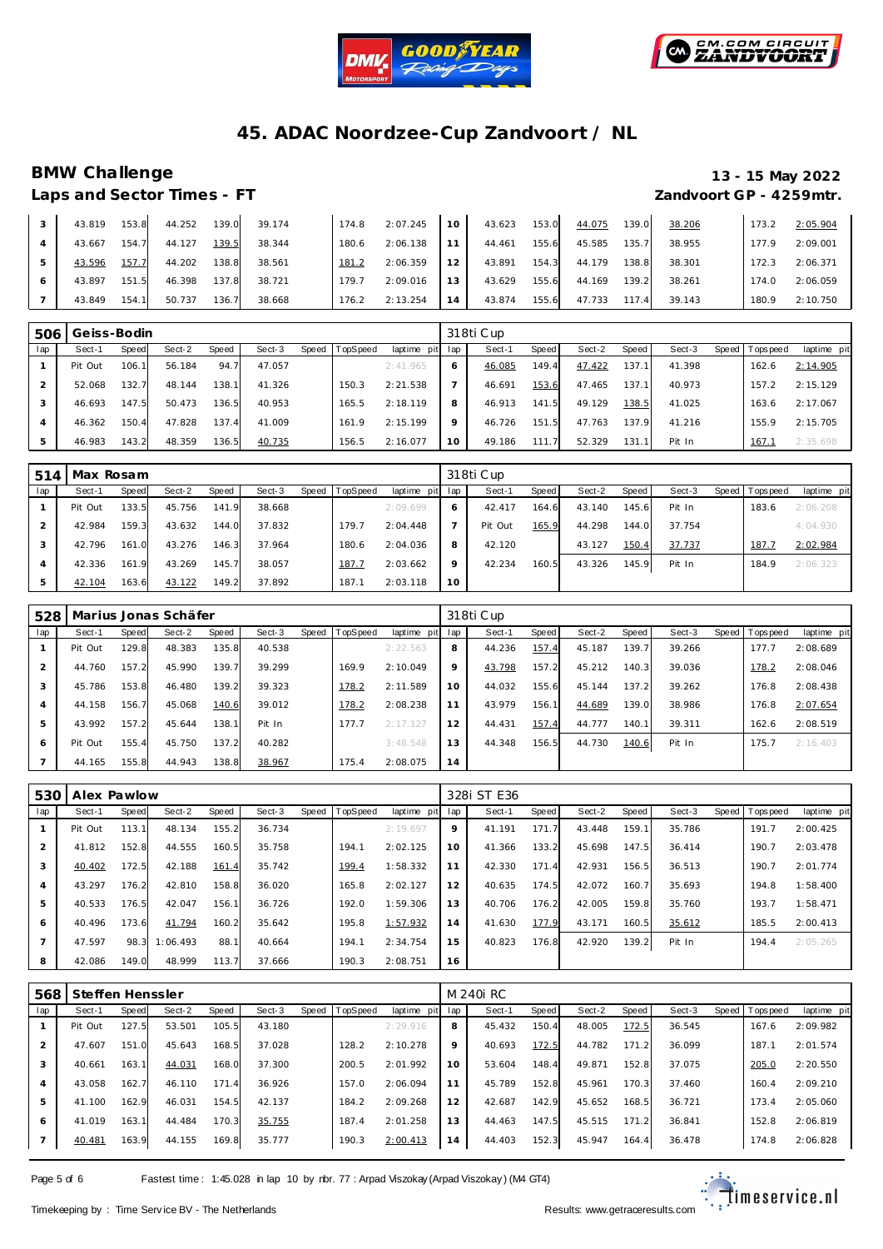



# **BMW Challenge 13 - 15 May 2022**

# **Laps and Sector Times - FT Zandvoort GP - 4259mtr.**

| 43.819 | 153.8 | 44.252 | 139.0 | 39.174 | 174.8 | 2:07.245 | 10 <sup>°</sup> | 43.623 | 153.0 | 44.075 | 139.0 | 38.206 | 173.2 | 2:05.904 |
|--------|-------|--------|-------|--------|-------|----------|-----------------|--------|-------|--------|-------|--------|-------|----------|
| 43.667 | 154.7 | 44.127 | 139.5 | 38.344 | 180.6 | 2:06.138 | 11.             | 44.461 | 155.6 | 45.585 | 135.7 | 38.955 | 177.9 | 2:09.001 |
| 43.596 | 157.7 | 44.202 | 138.8 | 38.561 | 181.2 | 2:06.359 | 12              | 43.891 | 154.3 | 44.179 | 138.8 | 38.301 | 172.3 | 2:06.371 |
| 43.897 | 151.5 | 46.398 | 137.8 | 38.721 | 179.7 | 2:09.016 | 13              | 43.629 | 155.6 | 44.169 | 139.2 | 38.261 | 174.0 | 2:06.059 |
| 43.849 | 154.1 | 50.737 | 136.7 | 38.668 | 176.2 | 2:13.254 | 14              | 43.874 | 155.6 | 47.733 | 117.4 | 39.143 | 180.9 | 2:10.750 |

| 506 | Geiss-Bodin |       |        |       |        |       |          |                 |         | 318ti Cup |       |        |        |        |       |            |             |  |  |
|-----|-------------|-------|--------|-------|--------|-------|----------|-----------------|---------|-----------|-------|--------|--------|--------|-------|------------|-------------|--|--|
| lap | Sect-1      | Speed | Sect-2 | Speed | Sect-3 | Speed | TopSpeed | laptime pit lap |         | Sect-1    | Speed | Sect-2 | Speed  | Sect-3 | Speed | Tops pee d | laptime pit |  |  |
|     | Pit Out     | 106.1 | 56.184 | 94.7  | 47.057 |       |          | 2:41.965        | 6       | 46.085    | 149.4 | 47.422 | 137.1  | 41.398 |       | 162.6      | 2:14.905    |  |  |
|     | 52.068      | 132.7 | 48.144 | 138.1 | 41.326 |       | 150.3    | 2:21.538        |         | 46.691    | 153.6 | 47.465 | 137.11 | 40.973 |       | 157.2      | 2:15.129    |  |  |
|     | 46.693      | 147.5 | 50.473 | 136.5 | 40.953 |       | 165.5    | 2:18.119        | 8       | 46.913    | 141.5 | 49.129 | 138.5  | 41.025 |       | 163.6      | 2:17.067    |  |  |
|     | 46.362      | 150.4 | 47.828 | 137.4 | 41.009 |       | 161.9    | 2:15.199        | $\circ$ | 46.726    | 151.5 | 47.763 | 137.9  | 41.216 |       | 155.9      | 2:15.705    |  |  |
|     | 46.983      | 143.2 | 48.359 | 136.5 | 40.735 |       | 156.5    | 2:16.077        | 10      | 49.186    | 111.7 | 52.329 | 131.1  | Pit In |       | 167.7      | 2:35.698    |  |  |

| 514 | Max Rosam |              |        |       |        |       |                 | 318ti Cup       |         |         |       |        |       |        |  |                  |             |
|-----|-----------|--------------|--------|-------|--------|-------|-----------------|-----------------|---------|---------|-------|--------|-------|--------|--|------------------|-------------|
| lap | Sect-1    | <b>Speed</b> | Sect-2 | Speed | Sect-3 | Speed | <b>TopSpeed</b> | laptime pit lap |         | Sect-1  | Speed | Sect-2 | Speed | Sect-3 |  | Speed   Topspeed | laptime pit |
|     | Pit Out   | 133.5        | 45.756 | 141.9 | 38.668 |       |                 | 2:09.699        | 6       | 42.417  | 164.6 | 43.140 | 145.6 | Pit In |  | 183.6            | 2:06.208    |
|     | 42.984    | 159.3        | 43.632 | 144.0 | 37.832 |       | 179.7           | 2:04.448        |         | Pit Out | 165.9 | 44.298 | 144.0 | 37.754 |  |                  | 4:04.930    |
|     | 42.796    | 161.0        | 43.276 | 146.3 | 37.964 |       | 180.6           | 2:04.036        | 8       | 42.120  |       | 43.127 | 150.4 | 37.737 |  | 187.7            | 2:02.984    |
|     | 42.336    | 161.9        | 43.269 | 145.7 | 38.057 |       | <u>187.7</u>    | 2:03.662        | $\circ$ | 42.234  | 160.5 | 43.326 | 145.9 | Pit In |  | 184.9            | 2:06.323    |
|     | 42.104    | 163.6        | 43.122 | 149.2 | 37.892 |       | 187.1           | 2:03.118        | 10      |         |       |        |       |        |  |                  |             |

| 528            |         |       | Marius Jonas Schäfer |       |        |       |          |             | 318ti Cup |        |       |        |       |        |         |           |             |  |  |
|----------------|---------|-------|----------------------|-------|--------|-------|----------|-------------|-----------|--------|-------|--------|-------|--------|---------|-----------|-------------|--|--|
| lap            | Sect-1  | Speed | Sect-2               | Speed | Sect-3 | Speed | TopSpeed | laptime pit | lap       | Sect-1 | Speed | Sect-2 | Speed | Sect-3 | Speed I | Tops peed | laptime pit |  |  |
|                | Pit Out | 129.8 | 48.383               | 135.8 | 40.538 |       |          | 2:22.563    | 8         | 44.236 | 157.4 | 45.187 | 139.7 | 39.266 |         | 177.7     | 2:08.689    |  |  |
| 2              | 44.760  | 157.2 | 45.990               | 139.7 | 39.299 |       | 169.9    | 2:10.049    | 9         | 43.798 | 157.2 | 45.212 | 140.3 | 39.036 |         | 178.2     | 2:08.046    |  |  |
| 3              | 45.786  | 153.8 | 46.480               | 139.2 | 39.323 |       | 178.2    | 2:11.589    | 10        | 44.032 | 155.6 | 45.144 | 137.2 | 39.262 |         | 176.8     | 2:08.438    |  |  |
| $\overline{4}$ | 44.158  | 156.7 | 45.068               | 140.6 | 39.012 |       | 178.2    | 2:08.238    | 11        | 43.979 | 156.1 | 44.689 | 139.0 | 38.986 |         | 176.8     | 2:07.654    |  |  |
| 5              | 43.992  | 157.2 | 45.644               | 138.1 | Pit In |       | 177.7    | 2:17.127    | 12        | 44.431 | 157.4 | 44.777 | 140.1 | 39.311 |         | 162.6     | 2:08.519    |  |  |
| 6              | Pit Out | 155.4 | 45.750               | 137.2 | 40.282 |       |          | 3:48.548    | 13        | 44.348 | 156.5 | 44.730 | 140.6 | Pit In |         | 175.7     | 2:16.403    |  |  |
|                | 44.165  | 155.8 | 44.943               | 138.8 | 38.967 |       | 175.4    | 2:08.075    | 14        |        |       |        |       |        |         |           |             |  |  |

| 530 | Alex Pawlow |       |          |       |        |       |          |                 | 328i ST E36 |        |       |        |       |        |  |                   |             |  |
|-----|-------------|-------|----------|-------|--------|-------|----------|-----------------|-------------|--------|-------|--------|-------|--------|--|-------------------|-------------|--|
| lap | Sect-1      | Speed | Sect-2   | Speed | Sect-3 | Speed | TopSpeed | laptime pit lap |             | Sect-1 | Speed | Sect-2 | Speed | Sect-3 |  | Speed   Tops peed | laptime pit |  |
|     | Pit Out     | 113.1 | 48.134   | 155.2 | 36.734 |       |          | 2:19.697        | $\circ$     | 41.191 | 171.7 | 43.448 | 159.1 | 35.786 |  | 191.7             | 2:00.425    |  |
|     | 41.812      | 152.8 | 44.555   | 160.5 | 35.758 |       | 194.1    | 2:02.125        | 10          | 41.366 | 133.2 | 45.698 | 147.5 | 36.414 |  | 190.7             | 2:03.478    |  |
| 3   | 40.402      | 172.5 | 42.188   | 161.4 | 35.742 |       | 199.4    | 1:58.332        | 11          | 42.330 | 171.4 | 42.931 | 156.5 | 36.513 |  | 190.7             | 2:01.774    |  |
| 4   | 43.297      | 176.2 | 42.810   | 158.8 | 36.020 |       | 165.8    | 2:02.127        | 12          | 40.635 | 174.5 | 42.072 | 160.7 | 35.693 |  | 194.8             | 1:58.400    |  |
| 5   | 40.533      | 176.5 | 42.047   | 156.1 | 36.726 |       | 192.0    | 1:59.306        | 13          | 40.706 | 176.2 | 42.005 | 159.8 | 35.760 |  | 193.7             | 1:58.471    |  |
| 6   | 40.496      | 173.6 | 41.794   | 160.2 | 35.642 |       | 195.8    | 1:57.932        | 14          | 41.630 | 177.9 | 43.171 | 160.5 | 35.612 |  | 185.5             | 2:00.413    |  |
|     | 47.597      | 98.3  | 1:06.493 | 88.   | 40.664 |       | 194.1    | 2:34.754        | 15          | 40.823 | 176.8 | 42.920 | 139.2 | Pit In |  | 194.4             | 2:05.265    |  |
| 8   | 42.086      | 149.0 | 48.999   | 113.7 | 37.666 |       | 190.3    | 2:08.751        | 16          |        |       |        |       |        |  |                   |             |  |

| 568 | Steffen Henssler |       |        |       |        |       |          |                 | M 240i RC |        |       |        |       |        |  |                |             |  |
|-----|------------------|-------|--------|-------|--------|-------|----------|-----------------|-----------|--------|-------|--------|-------|--------|--|----------------|-------------|--|
| lap | Sect-1           | Speed | Sect-2 | Speed | Sect-3 | Speed | TopSpeed | laptime pit lap |           | Sect-1 | Speed | Sect-2 | Speed | Sect-3 |  | Speed Topspeed | laptime pit |  |
|     | Pit Out          | 127.5 | 53.501 | 105.5 | 43.180 |       |          | 2:29.916        | 8         | 45.432 | 150.4 | 48.005 | 172.5 | 36.545 |  | 167.6          | 2:09.982    |  |
|     | 47.607           | 151.0 | 45.643 | 168.5 | 37.028 |       | 128.2    | 2:10.278        | $\circ$   | 40.693 | 172.5 | 44.782 | 171.2 | 36.099 |  | 187.1          | 2:01.574    |  |
|     | 40.661           | 163.1 | 44.031 | 168.0 | 37.300 |       | 200.5    | 2:01.992        | 10        | 53.604 | 148.4 | 49.871 | 152.8 | 37.075 |  | 205.0          | 2:20.550    |  |
|     | 43.058           | 162.7 | 46.110 | 171.4 | 36.926 |       | 157.0    | 2:06.094        | 11        | 45.789 | 152.8 | 45.961 | 170.3 | 37.460 |  | 160.4          | 2:09.210    |  |
| 5   | 41.100           | 162.9 | 46.031 | 154.5 | 42.137 |       | 184.2    | 2:09.268        | 12        | 42.687 | 142.9 | 45.652 | 168.5 | 36.721 |  | 173.4          | 2:05.060    |  |
| 6   | 41.019           | 163.1 | 44.484 | 170.3 | 35.755 |       | 187.4    | 2:01.258        | 13        | 44.463 | 147.5 | 45.515 | 171.2 | 36.841 |  | 152.8          | 2:06.819    |  |
|     | 40.481           | 163.9 | 44.155 | 169.8 | 35.777 |       | 190.3    | 2:00.413        | 14        | 44.403 | 152.3 | 45.947 | 164.4 | 36.478 |  | 174.8          | 2:06.828    |  |

Page 5 of 6 Fastest time : 1:45.028 in lap 10 by rbr. 77 : Arpad Viszokay (Arpad Viszokay) (M4 GT4)